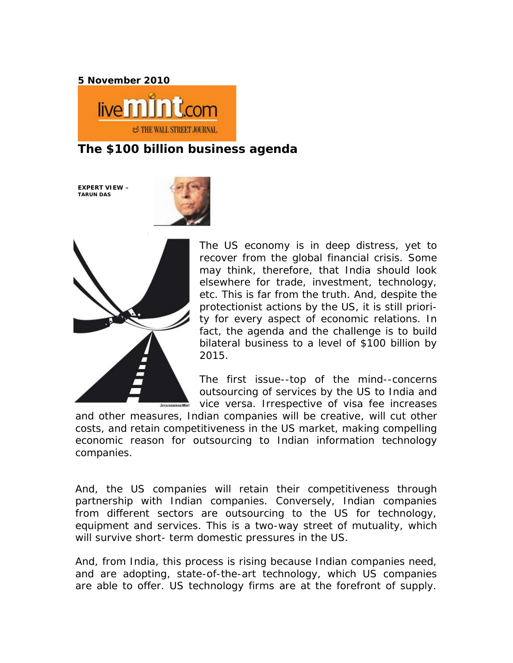**5 November 2010**



**The \$100 billion business agenda**

**EXPERT VIEW – TARUN DAS**





The US economy is in deep distress, yet to recover from the global financial crisis. Some may think, therefore, that India should look elsewhere for trade, investment, technology, etc. This is far from the truth. And, despite the protectionist actions by the US, it is still priority for every aspect of economic relations. In fact, the agenda and the challenge is to build bilateral business to a level of \$100 billion by 2015.

The first issue--top of the mind--concerns outsourcing of services by the US to India and vice versa. Irrespective of visa fee increases

and other measures, Indian companies will be creative, will cut other costs, and retain competitiveness in the US market, making compelling economic reason for outsourcing to Indian information technology companies.

And, the US companies will retain their competitiveness through partnership with Indian companies. Conversely, Indian companies from different sectors are outsourcing to the US for technology, equipment and services. This is a two-way street of mutuality, which will survive short- term domestic pressures in the US.

And, from India, this process is rising because Indian companies need, and are adopting, state-of-the-art technology, which US companies are able to offer. US technology firms are at the forefront of supply.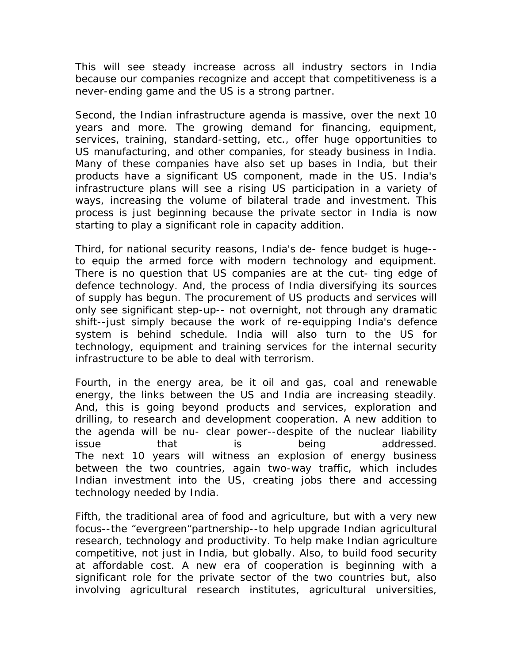This will see steady increase across all industry sectors in India because our companies recognize and accept that competitiveness is a never-ending game and the US is a strong partner.

Second, the Indian infrastructure agenda is massive, over the next 10 years and more. The growing demand for financing, equipment, services, training, standard-setting, etc., offer huge opportunities to US manufacturing, and other companies, for steady business in India. Many of these companies have also set up bases in India, but their products have a significant US component, made in the US. India's infrastructure plans will see a rising US participation in a variety of ways, increasing the volume of bilateral trade and investment. This process is just beginning because the private sector in India is now starting to play a significant role in capacity addition.

Third, for national security reasons, India's de- fence budget is huge- to equip the armed force with modern technology and equipment. There is no question that US companies are at the cut- ting edge of defence technology. And, the process of India diversifying its sources of supply has begun. The procurement of US products and services will only see significant step-up-- not overnight, not through any dramatic shift--just simply because the work of re-equipping India's defence system is behind schedule. India will also turn to the US for technology, equipment and training services for the internal security infrastructure to be able to deal with terrorism.

Fourth, in the energy area, be it oil and gas, coal and renewable energy, the links between the US and India are increasing steadily. And, this is going beyond products and services, exploration and drilling, to research and development cooperation. A new addition to the agenda will be nu- clear power--despite of the nuclear liability issue that is being addressed. The next 10 years will witness an explosion of energy business between the two countries, again two-way traffic, which includes Indian investment into the US, creating jobs there and accessing technology needed by India.

Fifth, the traditional area of food and agriculture, but with a very new focus--the "evergreen"partnership--to help upgrade Indian agricultural research, technology and productivity. To help make Indian agriculture competitive, not just in India, but globally. Also, to build food security at affordable cost. A new era of cooperation is beginning with a significant role for the private sector of the two countries but, also involving agricultural research institutes, agricultural universities,